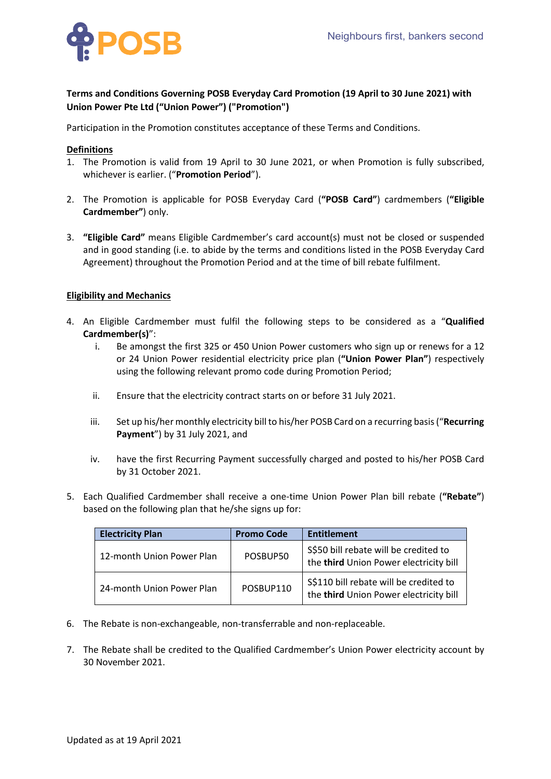

## **Terms and Conditions Governing POSB Everyday Card Promotion (19 April to 30 June 2021) with Union Power Pte Ltd ("Union Power") ("Promotion")**

Participation in the Promotion constitutes acceptance of these Terms and Conditions.

## **Definitions**

- 1. The Promotion is valid from 19 April to 30 June 2021, or when Promotion is fully subscribed, whichever is earlier. ("**Promotion Period**").
- 2. The Promotion is applicable for POSB Everyday Card (**"POSB Card"**) cardmembers (**"Eligible Cardmember"**) only.
- 3. **"Eligible Card"** means Eligible Cardmember's card account(s) must not be closed or suspended and in good standing (i.e. to abide by the terms and conditions listed in the POSB Everyday Card Agreement) throughout the Promotion Period and at the time of bill rebate fulfilment.

## **Eligibility and Mechanics**

- 4. An Eligible Cardmember must fulfil the following steps to be considered as a "**Qualified Cardmember(s)**":
	- i. Be amongst the first 325 or 450 Union Power customers who sign up or renews for a 12 or 24 Union Power residential electricity price plan (**"Union Power Plan"**) respectively using the following relevant promo code during Promotion Period;
	- ii. Ensure that the electricity contract starts on or before 31 July 2021.
	- iii. Set up his/her monthly electricity bill to his/her POSB Card on a recurring basis ("**Recurring Payment**") by 31 July 2021, and
	- iv. have the first Recurring Payment successfully charged and posted to his/her POSB Card by 31 October 2021.
- 5. Each Qualified Cardmember shall receive a one-time Union Power Plan bill rebate (**"Rebate"**) based on the following plan that he/she signs up for:

| <b>Electricity Plan</b>   | <b>Promo Code</b> | <b>Entitlement</b>                                                               |
|---------------------------|-------------------|----------------------------------------------------------------------------------|
| 12-month Union Power Plan | POSBUP50          | S\$50 bill rebate will be credited to<br>the third Union Power electricity bill  |
| 24-month Union Power Plan | POSBUP110         | S\$110 bill rebate will be credited to<br>the third Union Power electricity bill |

- 6. The Rebate is non-exchangeable, non-transferrable and non-replaceable.
- 7. The Rebate shall be credited to the Qualified Cardmember's Union Power electricity account by 30 November 2021.